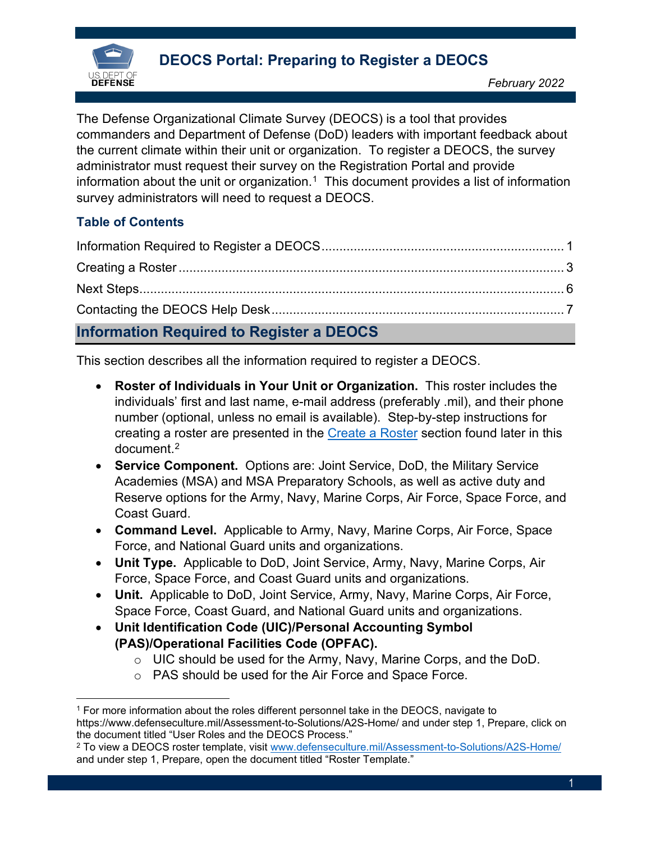

The Defense Organizational Climate Survey (DEOCS) is a tool that provides commanders and Department of Defense (DoD) leaders with important feedback about the current climate within their unit or organization. To register a DEOCS, the survey administrator must request their survey on the Registration Portal and provide information about the unit or organization.<sup>[1](#page-0-1)</sup> This document provides a list of information survey administrators will need to request a DEOCS.

# **Table of Contents**

| <b>Information Required to Register a DEOCS</b> |  |
|-------------------------------------------------|--|

<span id="page-0-0"></span>This section describes all the information required to register a DEOCS.

- **Roster of Individuals in Your Unit or Organization.** This roster includes the individuals' first and last name, e-mail address (preferably .mil), and their phone number (optional, unless no email is available). Step-by-step instructions for creating a roster are presented in the [Create a Roster](#page-2-0) section found later in this document. [2](#page-0-2)
- **Service Component.** Options are: Joint Service, DoD, the Military Service Academies (MSA) and MSA Preparatory Schools, as well as active duty and Reserve options for the Army, Navy, Marine Corps, Air Force, Space Force, and Coast Guard.
- **Command Level.** Applicable to Army, Navy, Marine Corps, Air Force, Space Force, and National Guard units and organizations.
- **Unit Type.** Applicable to DoD, Joint Service, Army, Navy, Marine Corps, Air Force, Space Force, and Coast Guard units and organizations.
- **Unit.** Applicable to DoD, Joint Service, Army, Navy, Marine Corps, Air Force, Space Force, Coast Guard, and National Guard units and organizations.
- **Unit Identification Code (UIC)/Personal Accounting Symbol (PAS)/Operational Facilities Code (OPFAC).**
	- o UIC should be used for the Army, Navy, Marine Corps, and the DoD.
	- o PAS should be used for the Air Force and Space Force.

<span id="page-0-1"></span><sup>1</sup> For more information about the roles different personnel take in the DEOCS, navigate to https://www.defenseculture.mil/Assessment-to-Solutions/A2S-Home/ and under step 1, Prepare, click on the document titled "User Roles and the DEOCS Process."

<span id="page-0-2"></span><sup>2</sup> To view a DEOCS roster template, visit [www.defenseculture.mil/Assessment-to-Solutions/A2S-Home/](http://www.defenseculture.mil/Assessment-to-Solutions/A2S-Home/) and under step 1, Prepare, open the document titled "Roster Template."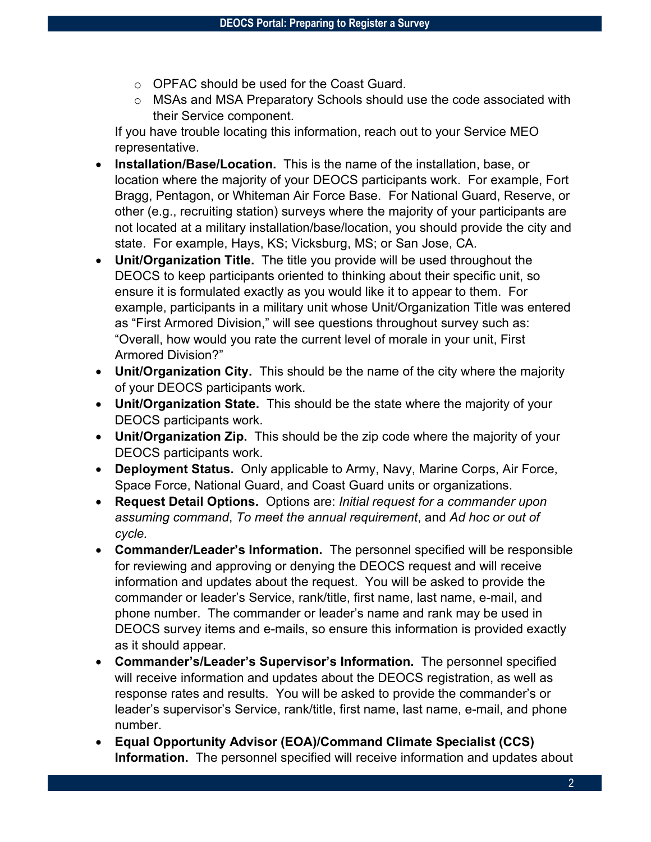- o OPFAC should be used for the Coast Guard.
- o MSAs and MSA Preparatory Schools should use the code associated with their Service component.

If you have trouble locating this information, reach out to your Service MEO representative.

- **Installation/Base/Location.** This is the name of the installation, base, or location where the majority of your DEOCS participants work. For example, Fort Bragg, Pentagon, or Whiteman Air Force Base. For National Guard, Reserve, or other (e.g., recruiting station) surveys where the majority of your participants are not located at a military installation/base/location, you should provide the city and state. For example, Hays, KS; Vicksburg, MS; or San Jose, CA.
- **Unit/Organization Title.** The title you provide will be used throughout the DEOCS to keep participants oriented to thinking about their specific unit, so ensure it is formulated exactly as you would like it to appear to them. For example, participants in a military unit whose Unit/Organization Title was entered as "First Armored Division," will see questions throughout survey such as: "Overall, how would you rate the current level of morale in your unit, First Armored Division?"
- **Unit/Organization City.** This should be the name of the city where the majority of your DEOCS participants work.
- **Unit/Organization State.** This should be the state where the majority of your DEOCS participants work.
- **Unit/Organization Zip.** This should be the zip code where the majority of your DEOCS participants work.
- **Deployment Status.** Only applicable to Army, Navy, Marine Corps, Air Force, Space Force, National Guard, and Coast Guard units or organizations.
- **Request Detail Options.** Options are: *Initial request for a commander upon assuming command*, *To meet the annual requirement*, and *Ad hoc or out of cycle.*
- **Commander/Leader's Information.** The personnel specified will be responsible for reviewing and approving or denying the DEOCS request and will receive information and updates about the request. You will be asked to provide the commander or leader's Service, rank/title, first name, last name, e-mail, and phone number. The commander or leader's name and rank may be used in DEOCS survey items and e-mails, so ensure this information is provided exactly as it should appear.
- **Commander's/Leader's Supervisor's Information.** The personnel specified will receive information and updates about the DEOCS registration, as well as response rates and results. You will be asked to provide the commander's or leader's supervisor's Service, rank/title, first name, last name, e-mail, and phone number.
- **Equal Opportunity Advisor (EOA)/Command Climate Specialist (CCS) Information.** The personnel specified will receive information and updates about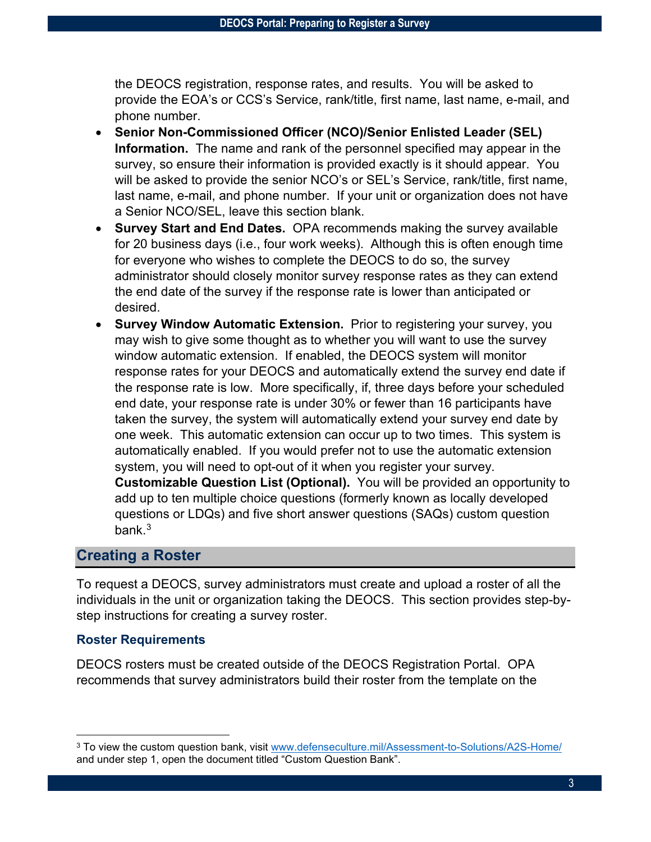the DEOCS registration, response rates, and results. You will be asked to provide the EOA's or CCS's Service, rank/title, first name, last name, e-mail, and phone number.

- **Senior Non-Commissioned Officer (NCO)/Senior Enlisted Leader (SEL) Information.** The name and rank of the personnel specified may appear in the survey, so ensure their information is provided exactly is it should appear. You will be asked to provide the senior NCO's or SEL's Service, rank/title, first name, last name, e-mail, and phone number. If your unit or organization does not have a Senior NCO/SEL, leave this section blank.
- **Survey Start and End Dates.** OPA recommends making the survey available for 20 business days (i.e., four work weeks). Although this is often enough time for everyone who wishes to complete the DEOCS to do so, the survey administrator should closely monitor survey response rates as they can extend the end date of the survey if the response rate is lower than anticipated or desired.
- **Survey Window Automatic Extension.** Prior to registering your survey, you may wish to give some thought as to whether you will want to use the survey window automatic extension. If enabled, the DEOCS system will monitor response rates for your DEOCS and automatically extend the survey end date if the response rate is low. More specifically, if, three days before your scheduled end date, your response rate is under 30% or fewer than 16 participants have taken the survey, the system will automatically extend your survey end date by one week. This automatic extension can occur up to two times. This system is automatically enabled. If you would prefer not to use the automatic extension system, you will need to opt-out of it when you register your survey. **Customizable Question List (Optional).** You will be provided an opportunity to add up to ten multiple choice questions (formerly known as locally developed questions or LDQs) and five short answer questions (SAQs) custom question

## <span id="page-2-0"></span>**Creating a Roster**

bank. [3](#page-2-1)

To request a DEOCS, survey administrators must create and upload a roster of all the individuals in the unit or organization taking the DEOCS. This section provides step-bystep instructions for creating a survey roster.

### **Roster Requirements**

DEOCS rosters must be created outside of the DEOCS Registration Portal. OPA recommends that survey administrators build their roster from the template on the

<span id="page-2-1"></span><sup>&</sup>lt;sup>3</sup> To view the custom question bank, visit [www.defenseculture.mil/Assessment-to-Solutions/A2S-Home/](http://www.defenseculture.mil/Assessment-to-Solutions/A2S-Home/) and under step 1, open the document titled "Custom Question Bank".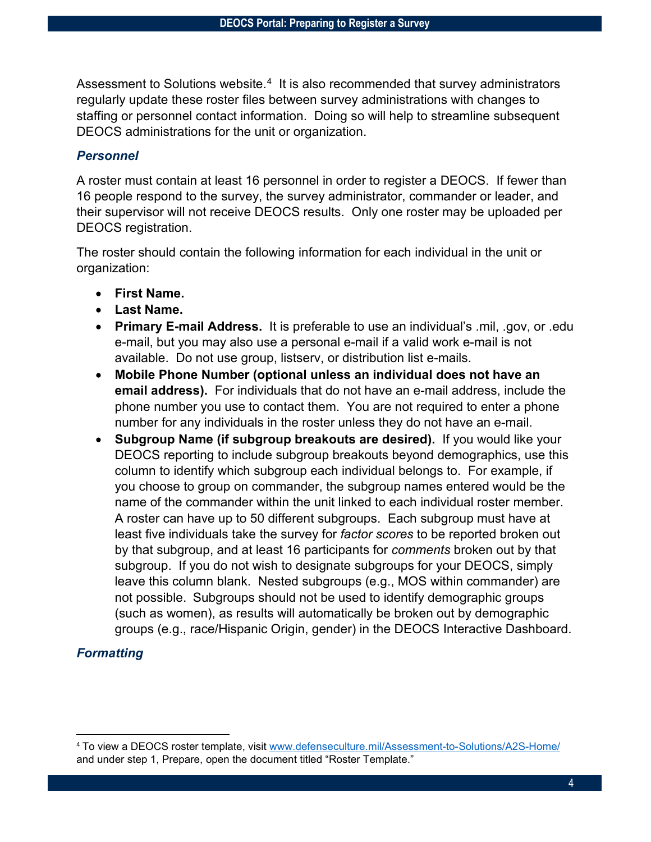Assessment to Solutions website. $^4\,$  It is also recommended that survey administrators regularly update these roster files between survey administrations with changes to staffing or personnel contact information. Doing so will help to streamline subsequent DEOCS administrations for the unit or organization.

#### *Personnel*

A roster must contain at least 16 personnel in order to register a DEOCS. If fewer than 16 people respond to the survey, the survey administrator, commander or leader, and their supervisor will not receive DEOCS results. Only one roster may be uploaded per DEOCS registration.

The roster should contain the following information for each individual in the unit or organization:

- **First Name.**
- **Last Name.**
- **Primary E-mail Address.** It is preferable to use an individual's .mil, .gov, or .edu e-mail, but you may also use a personal e-mail if a valid work e-mail is not available. Do not use group, listserv, or distribution list e-mails.
- **Mobile Phone Number (optional unless an individual does not have an email address).** For individuals that do not have an e-mail address, include the phone number you use to contact them. You are not required to enter a phone number for any individuals in the roster unless they do not have an e-mail.
- **Subgroup Name (if subgroup breakouts are desired).** If you would like your DEOCS reporting to include subgroup breakouts beyond demographics, use this column to identify which subgroup each individual belongs to. For example, if you choose to group on commander, the subgroup names entered would be the name of the commander within the unit linked to each individual roster member. A roster can have up to 50 different subgroups. Each subgroup must have at least five individuals take the survey for *factor scores* to be reported broken out by that subgroup, and at least 16 participants for *comments* broken out by that subgroup. If you do not wish to designate subgroups for your DEOCS, simply leave this column blank. Nested subgroups (e.g., MOS within commander) are not possible. Subgroups should not be used to identify demographic groups (such as women), as results will automatically be broken out by demographic groups (e.g., race/Hispanic Origin, gender) in the DEOCS Interactive Dashboard.

## *Formatting*

<span id="page-3-0"></span><sup>4</sup> To view a DEOCS roster template, visit [www.defenseculture.mil/Assessment-to-Solutions/A2S-Home/](http://www.defenseculture.mil/Assessment-to-Solutions/A2S-Home/) and under step 1, Prepare, open the document titled "Roster Template."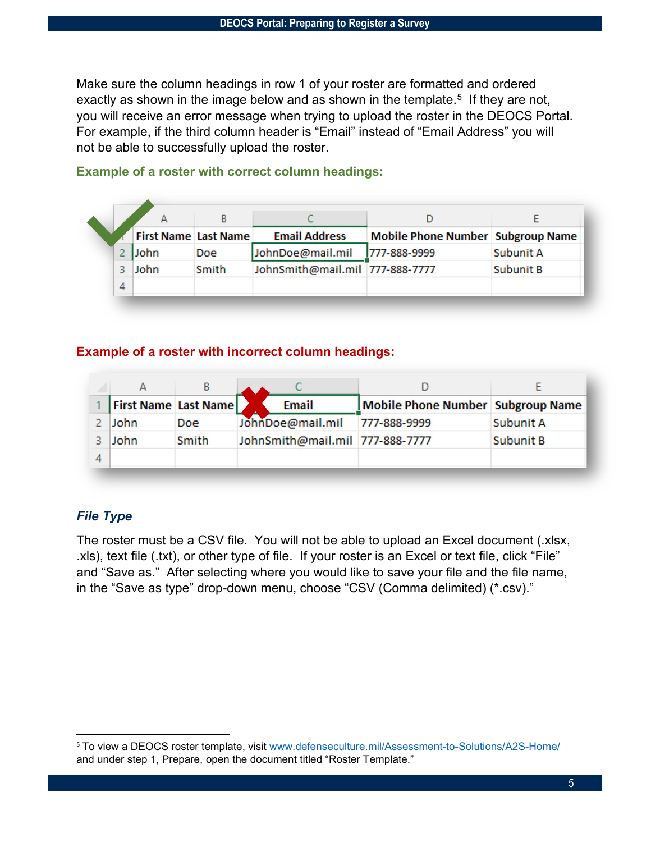Make sure the column headings in row 1 of your roster are formatted and ordered exactly as shown in the image below and as shown in the template.<sup>5</sup> If they are not, you will receive an error message when trying to upload the roster in the DEOCS Portal. For example, if the third column header is "Email" instead of "Email Address" you will not be able to successfully upload the roster.

|   | <b>First Name Last Name</b> |            | <b>Email Address</b>            | <b>Mobile Phone Number Subgroup Name</b> |                  |
|---|-----------------------------|------------|---------------------------------|------------------------------------------|------------------|
|   | John                        | <b>Doe</b> | JohnDoe@mail.mil                | 777-888-9999                             | Subunit A        |
|   | John                        | Smith      | JohnSmith@mail.mil 777-888-7777 |                                          | <b>Subunit B</b> |
| 4 |                             |            |                                 |                                          |                  |

### **Example of a roster with correct column headings:**

#### **Example of a roster with incorrect column headings:**

|                             | ь     |                                 |                                   |           |
|-----------------------------|-------|---------------------------------|-----------------------------------|-----------|
| <b>First Name Last Name</b> |       | <b>Email</b>                    | Mobile Phone Number Subgroup Name |           |
| John                        | Doe   | JohnDoe@mail.mil                | 777-888-9999                      | Subunit A |
| John                        | Smith | JohnSmith@mail.mil 777-888-7777 |                                   | Subunit B |
|                             |       |                                 |                                   |           |

## *File Type*

The roster must be a CSV file. You will not be able to upload an Excel document (.xlsx, .xls), text file (.txt), or other type of file. If your roster is an Excel or text file, click "File" and "Save as." After selecting where you would like to save your file and the file name, in the "Save as type" drop-down menu, choose "CSV (Comma delimited) (\*.csv)."

<span id="page-4-0"></span><sup>5</sup> To view a DEOCS roster template, visit [www.defenseculture.mil/Assessment-to-Solutions/A2S-Home/](http://www.defenseculture.mil/Assessment-to-Solutions/A2S-Home/) and under step 1, Prepare, open the document titled "Roster Template."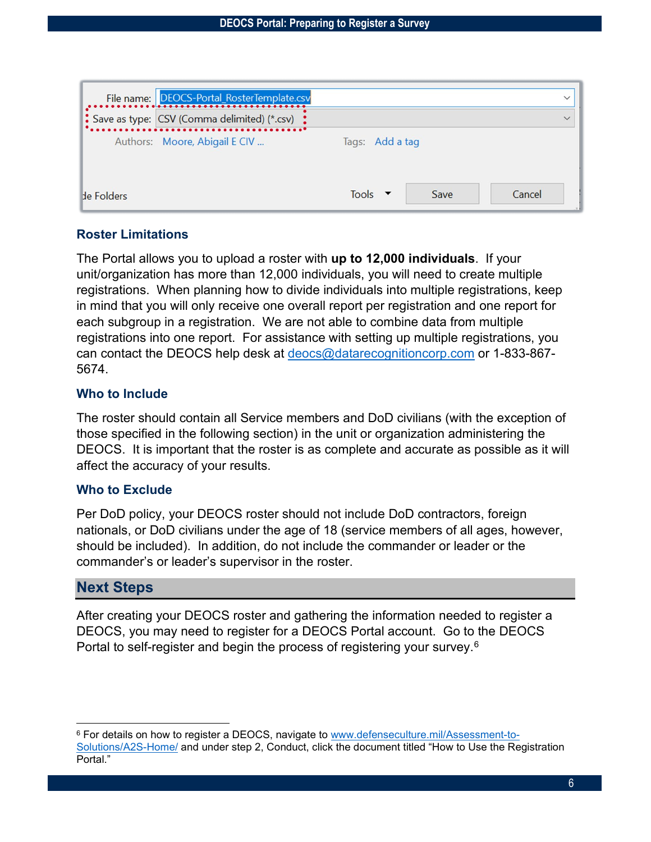|                   | File name: DEOCS-Portal_RosterTemplate.csv                 |                 | $\checkmark$ |
|-------------------|------------------------------------------------------------|-----------------|--------------|
|                   | $\therefore$ Save as type: CSV (Comma delimited) (*.csv) : |                 | $\checkmark$ |
|                   | Authors: Moore, Abigail E CIV                              | Tags: Add a tag |              |
| <b>He Folders</b> |                                                            | Save<br>Tools   | Cancel       |

### **Roster Limitations**

The Portal allows you to upload a roster with **up to 12,000 individuals**. If your unit/organization has more than 12,000 individuals, you will need to create multiple registrations. When planning how to divide individuals into multiple registrations, keep in mind that you will only receive one overall report per registration and one report for each subgroup in a registration. We are not able to combine data from multiple registrations into one report. For assistance with setting up multiple registrations, you can contact the DEOCS help desk at [deocs@datarecognitioncorp.com](mailto:deocs@datarecognitioncorp.com) or 1-833-867- 5674.

### **Who to Include**

The roster should contain all Service members and DoD civilians (with the exception of those specified in the following section) in the unit or organization administering the DEOCS. It is important that the roster is as complete and accurate as possible as it will affect the accuracy of your results.

### **Who to Exclude**

Per DoD policy, your DEOCS roster should not include DoD contractors, foreign nationals, or DoD civilians under the age of 18 (service members of all ages, however, should be included). In addition, do not include the commander or leader or the commander's or leader's supervisor in the roster.

# <span id="page-5-0"></span>**Next Steps**

After creating your DEOCS roster and gathering the information needed to register a DEOCS, you may need to register for a DEOCS Portal account. Go to the DEOCS Portal to self-register and begin the process of registering your survey.<sup>6</sup>

<span id="page-5-1"></span><sup>6</sup> For details on how to register a DEOCS, navigate to [www.defenseculture.mil/Assessment-to-](http://www.defenseculture.mil/Assessment-to-Solutions/A2S-Home/)[Solutions/A2S-Home/](http://www.defenseculture.mil/Assessment-to-Solutions/A2S-Home/) and under step 2, Conduct, click the document titled "How to Use the Registration Portal."